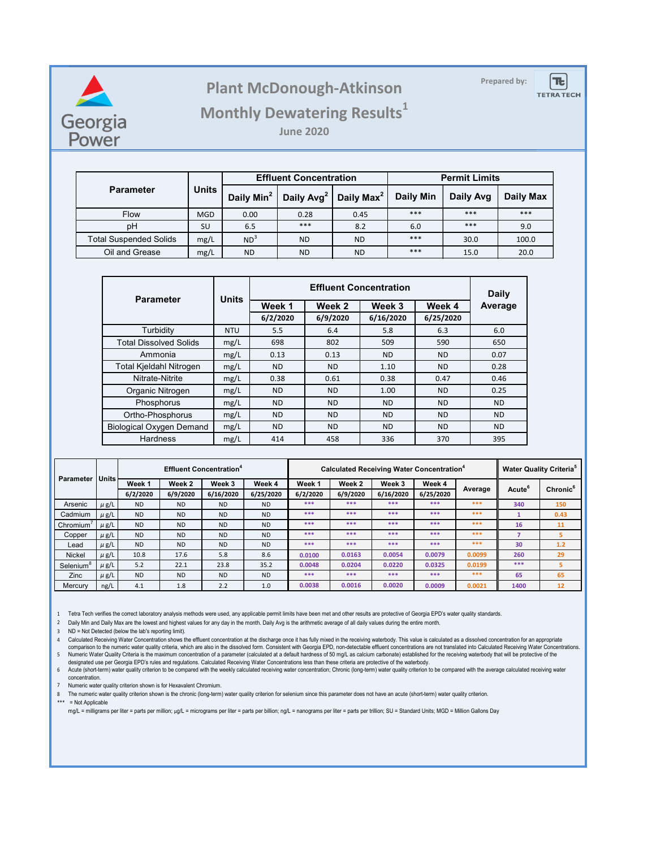

## **Prepared by: Plant McDonough-Atkinson**



## **Monthly Dewatering Results<sup>1</sup>**

**June 2020**

|                               | <b>Units</b> |                 | <b>Effluent Concentration</b>                   |                        | <b>Permit Limits</b> |           |           |  |
|-------------------------------|--------------|-----------------|-------------------------------------------------|------------------------|----------------------|-----------|-----------|--|
| <b>Parameter</b>              |              |                 | Daily Min <sup>2</sup>   Daily Avg <sup>2</sup> | Daily Max <sup>2</sup> | <b>Daily Min</b>     | Daily Avg | Daily Max |  |
| <b>Flow</b>                   | <b>MGD</b>   | 0.00            | 0.28                                            | 0.45                   | ***                  | ***       | ***       |  |
| pH                            | SU           | 6.5             | ***                                             | 8.2                    | 6.0                  | ***       | 9.0       |  |
| <b>Total Suspended Solids</b> | mg/L         | ND <sup>3</sup> | <b>ND</b>                                       | <b>ND</b>              | ***                  | 30.0      | 100.0     |  |
| Oil and Grease                | mg/L         | <b>ND</b>       | <b>ND</b>                                       | <b>ND</b>              | ***                  | 15.0      | 20.0      |  |

| <b>Parameter</b>                | <b>Units</b> |           | Daily     |           |           |           |  |
|---------------------------------|--------------|-----------|-----------|-----------|-----------|-----------|--|
|                                 |              | Week 1    | Week 2    | Week 3    | Week 4    | Average   |  |
|                                 |              | 6/2/2020  | 6/9/2020  | 6/16/2020 | 6/25/2020 |           |  |
| Turbidity                       | <b>NTU</b>   | 5.5       | 6.4       | 5.8       | 6.3       | 6.0       |  |
| <b>Total Dissolved Solids</b>   | mg/L         | 698       | 802       | 509       | 590       | 650       |  |
| Ammonia                         | mg/L         | 0.13      | 0.13      | <b>ND</b> | <b>ND</b> | 0.07      |  |
| <b>Total Kjeldahl Nitrogen</b>  | mg/L         | <b>ND</b> | <b>ND</b> | 1.10      | <b>ND</b> | 0.28      |  |
| Nitrate-Nitrite                 | mg/L         | 0.38      | 0.61      | 0.38      | 0.47      | 0.46      |  |
| Organic Nitrogen                | mg/L         | <b>ND</b> | <b>ND</b> | 1.00      | <b>ND</b> | 0.25      |  |
| Phosphorus                      | mg/L         | <b>ND</b> | <b>ND</b> | <b>ND</b> | <b>ND</b> | <b>ND</b> |  |
| Ortho-Phosphorus                | mg/L         | <b>ND</b> | <b>ND</b> | <b>ND</b> | <b>ND</b> | <b>ND</b> |  |
| <b>Biological Oxygen Demand</b> | mg/L         | <b>ND</b> | <b>ND</b> | <b>ND</b> | <b>ND</b> | <b>ND</b> |  |
| Hardness                        | mg/L         | 414       | 458       | 336       | 370       | 395       |  |

| <b>Parameter   Units  </b> |           |                |           | <b>Effluent Concentration<sup>4</sup></b> |           | <b>Calculated Receiving Water Concentration<sup>4</sup></b> |          |           |           |         | <b>Water Quality Criteria</b> <sup>5</sup> |                      |
|----------------------------|-----------|----------------|-----------|-------------------------------------------|-----------|-------------------------------------------------------------|----------|-----------|-----------|---------|--------------------------------------------|----------------------|
|                            |           | Week 1         | Week 2    | Week 3                                    | Week 4    | Week 1                                                      | Week 2   | Week 3    | Week 4    | Average | Acute <sup>6</sup>                         | Chronic <sup>6</sup> |
|                            |           | 6/2/2020       | 6/9/2020  | 6/16/2020                                 | 6/25/2020 | 6/2/2020                                                    | 6/9/2020 | 6/16/2020 | 6/25/2020 |         |                                            |                      |
| Arsenic                    | $\mu$ g/L | N <sub>D</sub> | ND.       | <b>ND</b>                                 | <b>ND</b> | ***                                                         | ***      | ***       | ***       | ***     | 340                                        | 150                  |
| Cadmium                    | $\mu$ g/L | <b>ND</b>      | <b>ND</b> | <b>ND</b>                                 | <b>ND</b> | ***                                                         | ***      | ***       | ***       | ***     |                                            | 0.43                 |
| Chromium                   | $\mu$ g/L | <b>ND</b>      | <b>ND</b> | <b>ND</b>                                 | <b>ND</b> | ***                                                         | ***      | ***       | ***       | ***     | 16                                         | 11                   |
| Copper                     | $\mu$ g/L | <b>ND</b>      | <b>ND</b> | <b>ND</b>                                 | <b>ND</b> | ***                                                         | ***      | ***       | ***       | ***     |                                            | 5                    |
| Lead                       | $\mu$ g/L | <b>ND</b>      | <b>ND</b> | <b>ND</b>                                 | <b>ND</b> | ***                                                         | ***      | ***       | ***       | ***     | 30                                         | 1.2                  |
| <b>Nickel</b>              | $\mu$ g/L | 10.8           | 17.6      | 5.8                                       | 8.6       | 0.0100                                                      | 0.0163   | 0.0054    | 0.0079    | 0.0099  | 260                                        | 29                   |
| Selenium <sup>8</sup>      | $\mu$ g/L | 5.2            | 22.1      | 23.8                                      | 35.2      | 0.0048                                                      | 0.0204   | 0.0220    | 0.0325    | 0.0199  | ***                                        | 5                    |
| Zinc                       | $\mu$ g/L | N <sub>D</sub> | <b>ND</b> | <b>ND</b>                                 | <b>ND</b> | ***                                                         | ***      | ***       | ***       | ***     | 65                                         | 65                   |
| Mercury                    | ng/L      | 4.1            | 1.8       | 2.2                                       | 1.0       | 0.0038                                                      | 0.0016   | 0.0020    | 0.0009    | 0.0021  | 1400                                       | 12                   |

1 Tetra Tech verifies the correct laboratory analysis methods were used, any applicable permit limits have been met and other results are protective of Georgia EPD's water quality standards.

2 Daily Min and Daily Max are the lowest and highest values for any day in the month. Daily Avg is the arithmetic average of all daily values during the entire month.

3 ND = Not Detected (below the lab's reporting limit).

4 Calculated Receiving Water Concentration shows the effluent concentration at the discharge once it has fully mixed in the receiving waterbody. This value is calculated as a dissolved concentration for an appropriate 5 Numeric Water Quality Criteria is the maximum concentration of a parameter (calculated at a default hardness of 50 mg/L as calcium carbonate) established for the receiving waterbody that will be protective of the<br>designa comparison to the numeric water quality criteria, which are also in the dissolved form. Consistent with Georgia EPD, non-detectable effluent concentrations are not translated into Calculated Receiving Water Concentrations.

6 Acute (short-term) water quality criterion to be compared with the weekly calculated receiving water concentration; Chronic (long-term) water quality criterion to be compared with the average calculated receiving water concentration.

7 Numeric water quality criterion shown is for Hexavalent Chromium.

8 The numeric water quality criterion shown is the chronic (long-term) water quality criterion for selenium since this parameter does not have an acute (short-term) water quality criterion.

\*\*\* = Not Applicable

mg/L = milligrams per liter = parts per million; µg/L = micrograms per liter = parts per billion; ng/L = nanograms per liter = parts per trillion; SU = Standard Units; MGD = Million Gallons Day